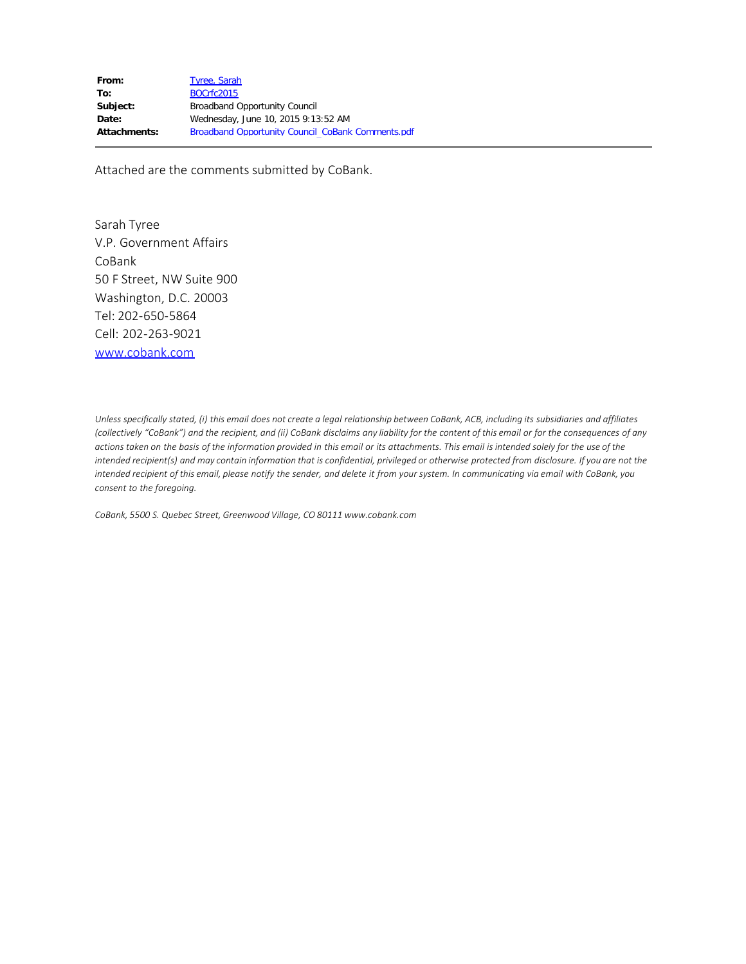Attached are the comments submitted by CoBank.

Sarah Tyree V.P. Government Affairs CoBank 50 F Street, NW Suite 900 Washington, D.C. 20003 Tel: 202-650-5864 Cell: 202-263-9021 [www.cobank.com](http://www.cobank.com/)

*Unless specifically stated, (i) this email does not create a legal relationship between CoBank, ACB, including its subsidiaries and affiliates (collectively "CoBank") and the recipient, and (ii) CoBank disclaims any liability for the content of this email or for the consequences of any actions taken on the basis of the information provided in this email or its attachments. This email is intended solely for the use of the intended recipient(s) and may contain information that is confidential, privileged or otherwise protected from disclosure. If you are not the intended recipient of this email, please notify the sender, and delete it from your system. In communicating via email with CoBank, you consent to the foregoing.* 

*CoBank, 5500 S. Quebec Street, Greenwood Village, CO 80111 www.cobank.com*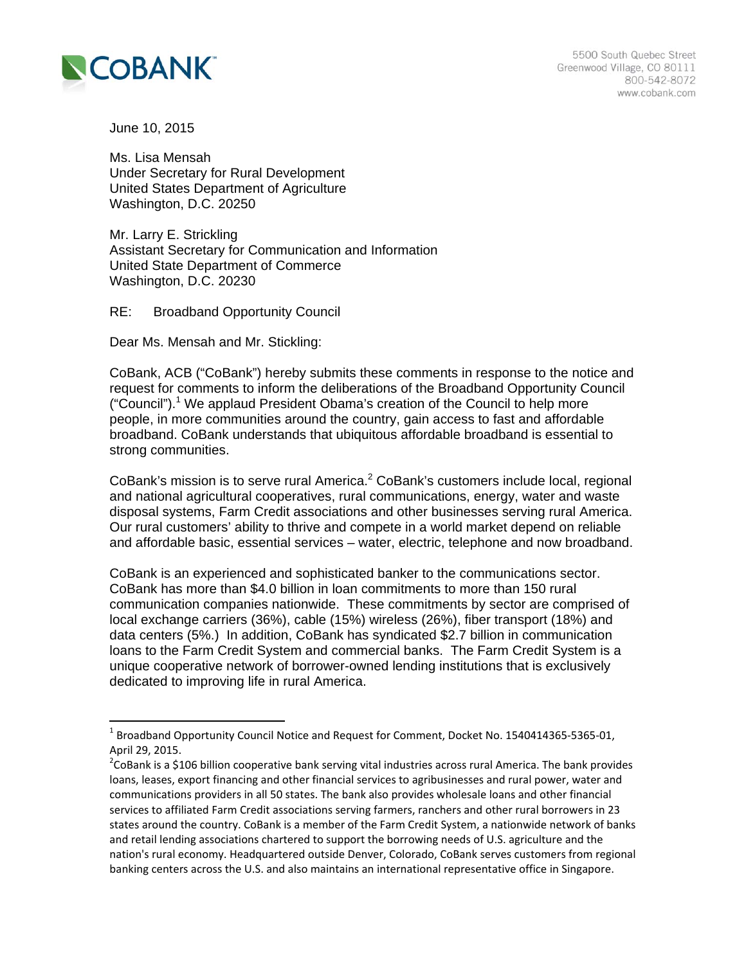

 $\overline{a}$ 

June 10, 2015

Ms. Lisa Mensah Under Secretary for Rural Development United States Department of Agriculture Washington, D.C. 20250

Mr. Larry E. Strickling Assistant Secretary for Communication and Information United State Department of Commerce Washington, D.C. 20230

RE: Broadband Opportunity Council

Dear Ms. Mensah and Mr. Stickling:

CoBank, ACB ("CoBank") hereby submits these comments in response to the notice and request for comments to inform the deliberations of the Broadband Opportunity Council ("Council").<sup>1</sup> We applaud President Obama's creation of the Council to help more people, in more communities around the country, gain access to fast and affordable broadband. CoBank understands that ubiquitous affordable broadband is essential to strong communities.

CoBank's mission is to serve rural America. $2$  CoBank's customers include local, regional and national agricultural cooperatives, rural communications, energy, water and waste disposal systems, Farm Credit associations and other businesses serving rural America. Our rural customers' ability to thrive and compete in a world market depend on reliable and affordable basic, essential services – water, electric, telephone and now broadband.

CoBank is an experienced and sophisticated banker to the communications sector. CoBank has more than \$4.0 billion in loan commitments to more than 150 rural communication companies nationwide. These commitments by sector are comprised of local exchange carriers (36%), cable (15%) wireless (26%), fiber transport (18%) and data centers (5%.) In addition, CoBank has syndicated \$2.7 billion in communication loans to the Farm Credit System and commercial banks. The Farm Credit System is a unique cooperative network of borrower-owned lending institutions that is exclusively dedicated to improving life in rural America.

 $1$  Broadband Opportunity Council Notice and Request for Comment, Docket No. 1540414365-5365-01, April 29, 2015.

<sup>&</sup>lt;sup>2</sup>CoBank is a \$106 billion cooperative bank serving vital industries across rural America. The bank provides loans, leases, export financing and other financial services to agribusinesses and rural power, water and communications providers in all 50 states. The bank also provides wholesale loans and other financial services to affiliated Farm Credit associations serving farmers, ranchers and other rural borrowers in 23 states around the country. CoBank is a member of the Farm Credit System, a nationwide network of banks and retail lending associations chartered to support the borrowing needs of U.S. agriculture and the nation's rural economy. Headquartered outside Denver, Colorado, CoBank serves customers from regional banking centers across the U.S. and also maintains an international representative office in Singapore.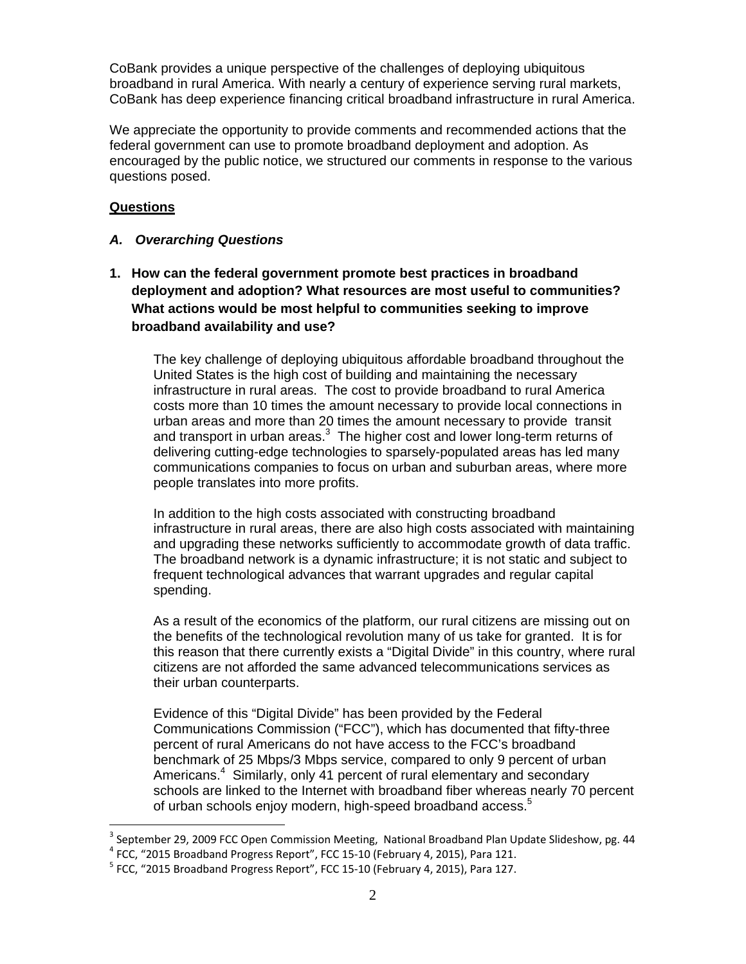CoBank provides a unique perspective of the challenges of deploying ubiquitous broadband in rural America. With nearly a century of experience serving rural markets, CoBank has deep experience financing critical broadband infrastructure in rural America.

We appreciate the opportunity to provide comments and recommended actions that the federal government can use to promote broadband deployment and adoption. As encouraged by the public notice, we structured our comments in response to the various questions posed.

# **Questions**

 $\overline{a}$ 

# *A. Overarching Questions*

**1. How can the federal government promote best practices in broadband deployment and adoption? What resources are most useful to communities? What actions would be most helpful to communities seeking to improve broadband availability and use?** 

The key challenge of deploying ubiquitous affordable broadband throughout the United States is the high cost of building and maintaining the necessary infrastructure in rural areas. The cost to provide broadband to rural America costs more than 10 times the amount necessary to provide local connections in urban areas and more than 20 times the amount necessary to provide transit and transport in urban areas. $3$  The higher cost and lower long-term returns of delivering cutting-edge technologies to sparsely-populated areas has led many communications companies to focus on urban and suburban areas, where more people translates into more profits.

In addition to the high costs associated with constructing broadband infrastructure in rural areas, there are also high costs associated with maintaining and upgrading these networks sufficiently to accommodate growth of data traffic. The broadband network is a dynamic infrastructure; it is not static and subject to frequent technological advances that warrant upgrades and regular capital spending.

As a result of the economics of the platform, our rural citizens are missing out on the benefits of the technological revolution many of us take for granted. It is for this reason that there currently exists a "Digital Divide" in this country, where rural citizens are not afforded the same advanced telecommunications services as their urban counterparts.

Evidence of this "Digital Divide" has been provided by the Federal Communications Commission ("FCC"), which has documented that fifty-three percent of rural Americans do not have access to the FCC's broadband benchmark of 25 Mbps/3 Mbps service, compared to only 9 percent of urban Americans.<sup>4</sup> Similarly, only 41 percent of rural elementary and secondary schools are linked to the Internet with broadband fiber whereas nearly 70 percent of urban schools enjoy modern, high-speed broadband access.<sup>5</sup>

<sup>&</sup>lt;sup>3</sup> September 29, 2009 FCC Open Commission Meeting, National Broadband Plan Update Slideshow, pg. 44<br><sup>4</sup> FCC, "2015 Broadband Progress Report", FCC 15-10 (February 4, 2015), Para 121.<br><sup>5</sup> FCC, "2015 Broadband Progress Repo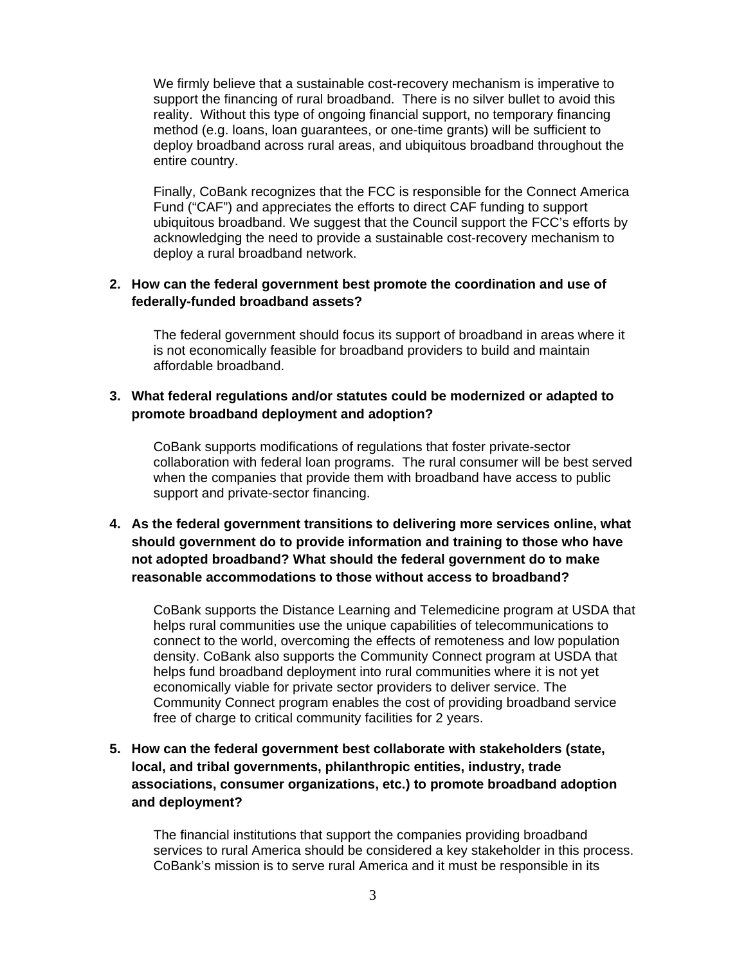We firmly believe that a sustainable cost-recovery mechanism is imperative to support the financing of rural broadband. There is no silver bullet to avoid this reality.Without this type of ongoing financial support, no temporary financing method (e.g. loans, loan guarantees, or one-time grants) will be sufficient to deploy broadband across rural areas, and ubiquitous broadband throughout the entire country.

Finally, CoBank recognizes that the FCC is responsible for the Connect America Fund ("CAF") and appreciates the efforts to direct CAF funding to support ubiquitous broadband. We suggest that the Council support the FCC's efforts by acknowledging the need to provide a sustainable cost-recovery mechanism to deploy a rural broadband network.

# **2. How can the federal government best promote the coordination and use of federally-funded broadband assets?**

The federal government should focus its support of broadband in areas where it is not economically feasible for broadband providers to build and maintain affordable broadband.

# **3. What federal regulations and/or statutes could be modernized or adapted to promote broadband deployment and adoption?**

CoBank supports modifications of regulations that foster private-sector collaboration with federal loan programs. The rural consumer will be best served when the companies that provide them with broadband have access to public support and private-sector financing.

**4. As the federal government transitions to delivering more services online, what should government do to provide information and training to those who have not adopted broadband? What should the federal government do to make reasonable accommodations to those without access to broadband?** 

CoBank supports the Distance Learning and Telemedicine program at USDA that helps rural communities use the unique capabilities of telecommunications to connect to the world, overcoming the effects of remoteness and low population density. CoBank also supports the Community Connect program at USDA that helps fund broadband deployment into rural communities where it is not yet economically viable for private sector providers to deliver service. The Community Connect program enables the cost of providing broadband service free of charge to critical community facilities for 2 years.

**5. How can the federal government best collaborate with stakeholders (state, local, and tribal governments, philanthropic entities, industry, trade associations, consumer organizations, etc.) to promote broadband adoption and deployment?** 

The financial institutions that support the companies providing broadband services to rural America should be considered a key stakeholder in this process. CoBank's mission is to serve rural America and it must be responsible in its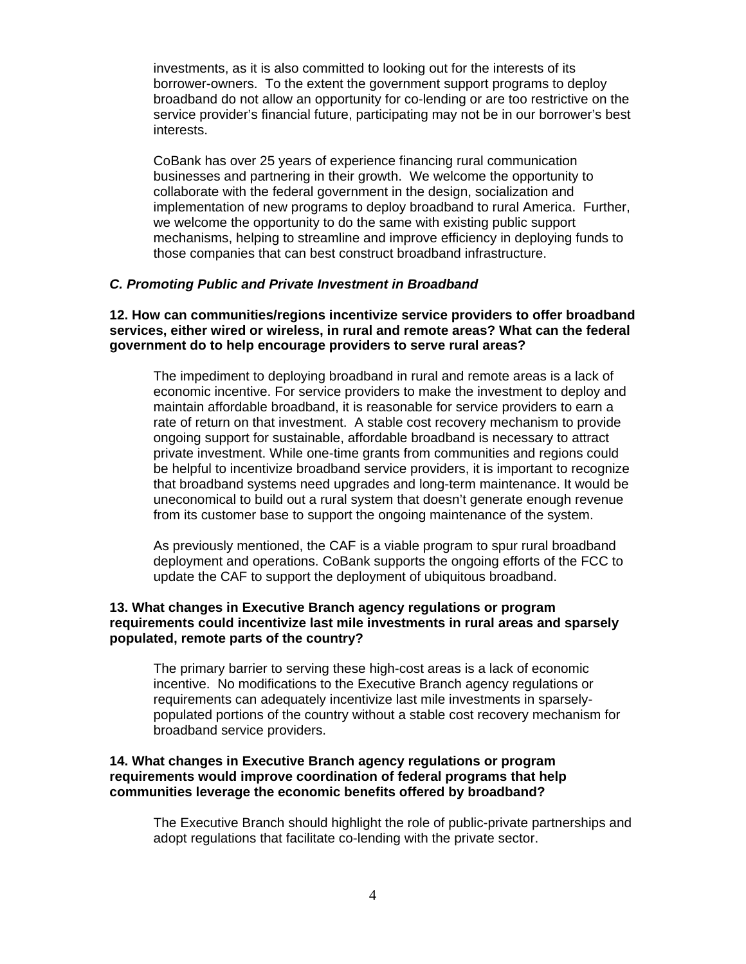investments, as it is also committed to looking out for the interests of its borrower-owners. To the extent the government support programs to deploy broadband do not allow an opportunity for co-lending or are too restrictive on the service provider's financial future, participating may not be in our borrower's best interests.

CoBank has over 25 years of experience financing rural communication businesses and partnering in their growth. We welcome the opportunity to collaborate with the federal government in the design, socialization and implementation of new programs to deploy broadband to rural America. Further, we welcome the opportunity to do the same with existing public support mechanisms, helping to streamline and improve efficiency in deploying funds to those companies that can best construct broadband infrastructure.

#### *C. Promoting Public and Private Investment in Broadband*

## **12. How can communities/regions incentivize service providers to offer broadband services, either wired or wireless, in rural and remote areas? What can the federal government do to help encourage providers to serve rural areas?**

The impediment to deploying broadband in rural and remote areas is a lack of economic incentive. For service providers to make the investment to deploy and maintain affordable broadband, it is reasonable for service providers to earn a rate of return on that investment. A stable cost recovery mechanism to provide ongoing support for sustainable, affordable broadband is necessary to attract private investment. While one-time grants from communities and regions could be helpful to incentivize broadband service providers, it is important to recognize that broadband systems need upgrades and long-term maintenance. It would be uneconomical to build out a rural system that doesn't generate enough revenue from its customer base to support the ongoing maintenance of the system.

As previously mentioned, the CAF is a viable program to spur rural broadband deployment and operations. CoBank supports the ongoing efforts of the FCC to update the CAF to support the deployment of ubiquitous broadband.

### **13. What changes in Executive Branch agency regulations or program requirements could incentivize last mile investments in rural areas and sparsely populated, remote parts of the country?**

The primary barrier to serving these high-cost areas is a lack of economic incentive. No modifications to the Executive Branch agency regulations or requirements can adequately incentivize last mile investments in sparselypopulated portions of the country without a stable cost recovery mechanism for broadband service providers.

### **14. What changes in Executive Branch agency regulations or program requirements would improve coordination of federal programs that help communities leverage the economic benefits offered by broadband?**

The Executive Branch should highlight the role of public-private partnerships and adopt regulations that facilitate co-lending with the private sector.